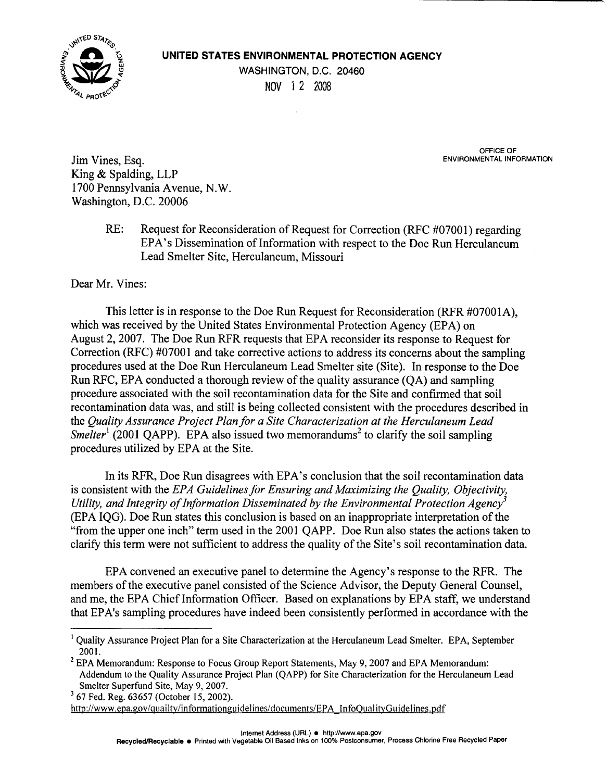

## **UNITED STATES ENVIRONMENTAL PROTECTION AGENCY**

WASHINGTON, D.C. 20460 NOV 1 2 2008

OFFICE OF<br>ENVIRONMENTAL INFORMATION

Jim Vines, Esa. King & Spalding, LLP 1700 Pennsylvania Avenue, N.W. Washington, D.C. 20006

> RE: Request for Reconsideration of Request for Correction (RFC #07001) regarding EPA's Dissemination of Information with respect to the Doe Run Herculaneum Lead Smelter Site, Herculaneum, Missouri

Dear Mr. Vines:

This letter is in response to the Doe Run Request for Reconsideration (RFR #07001A), which was received by the United States Environmental Protection Agency (EPA) on August 2, 2007. The Doe Run RFR requests that EPA reconsider its response to Request for Correction (RFC) #07001 and take corrective actions to address its concerns about the sampling procedures used at the Doe Run Herculaneum Lead Smelter site (Site). In response to the Doe Run RFC, EPA conducted a thorough review of the quality assurance  $(OA)$  and sampling procedure associated with the soil recontamination data for the Site and confirmed that soil recontamination data was, and still is being collected consistent with the procedures described in the *Quality Assurance Project Plan for a Site Characterization at the Herculaneum Lead Smelter*<sup>1</sup> (2001 QAPP). EPA also issued two memorandums<sup>2</sup> to clarify the soil sampling procedures utilized by EPA at the Site.

In its RFR, Doe Run disagrees with EPA's conclusion that the soil recontamination data is consistent with the *EPA Guidelines for Ensuring and Maximizing the Quality, Objectivity, Utility, and Integrity of Information Disseminated by the Environmental Protection Agency*<sup>3</sup> (EPA IQG). Doe Run states this conclusion is based on an inappropriate interpretation of the "from the upper one inch" term used in the 2001 QAPP. Doe Run also states the actions taken to clarify this term were not sufficient to address the quality of the Site's soil recontamination data.

EPA convened an executive panel to determine the Agency's response to the RFR. The members of the executive panel consisted of the Science Advisor, the Deputy General Counsel, and me, the EPA Chief Information Officer. Based on explanations by EPA staff, we understand that EP A's sampling procedures have indeed been consistently performed in accordance with the

<sup>&</sup>lt;sup>1</sup> Ouality Assurance Project Plan for a Site Characterization at the Herculaneum Lead Smelter. EPA, September 2001.<br><sup>2</sup> EPA Memorandum: Response to Focus Group Report Statements, May 9, 2007 and EPA Memorandum:

Addendum to the Quality Assurance Project Plan (QAPP) for Site Characterization for the Herculaneum Lead

Smelter Superfund Site, May 9, 2007. 3 67 Fed. Reg. 63657 (October 15, 2002).

http://www.epa.gov/quailty/informationguidelines/documents/EPA InfoQualityGuidelines.pdf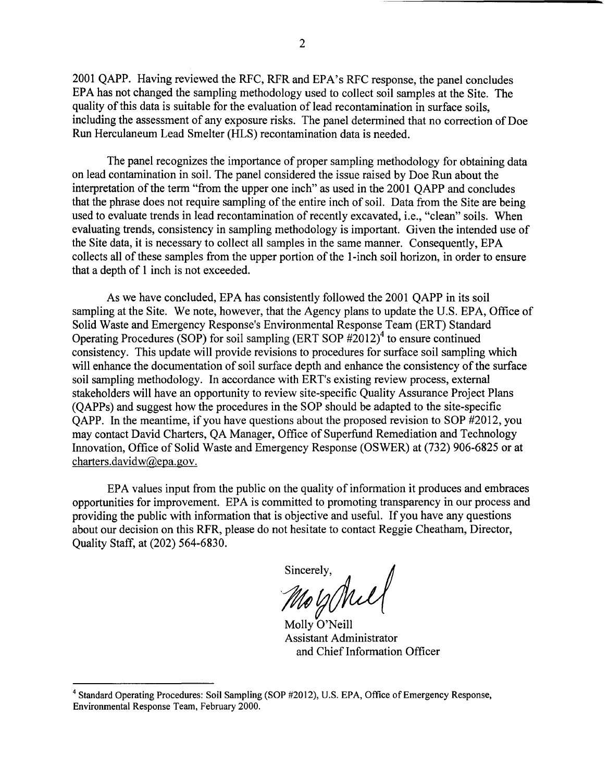2001 QAPP. Having reviewed the RFC, RFR and EPA's RFC response, the panel concludes EPA has not changed the sampling methodology used to collect soil samples at the Site. The quality of this data is suitable for the evaluation of lead recontamination in surface soils, including the assessment of any exposure risks. The panel determined that no correction of Doe Run Herculaneum Lead Smelter (HLS) recontamination data is needed.

The panel recognizes the importance of proper sampling methodology for obtaining data on lead contamination in soil. The panel considered the issue raised by Doe Run about the interpretation of the term "from the upper one inch" as used in the 2001 QAPP and concludes that the phrase does not require sampling of the entire inch of soil. Data from the Site are being used to evaluate trends in lead recontamination of recently excavated, i.e., "clean" soils. When evaluating trends, consistency in sampling methodology is important. Given the intended use of the Site data, it is necessary to collect all samples in the same manner. Consequently, EPA collects all of these samples from the upper portion of the I-inch soil horizon, in order to ensure that a depth of 1 inch is not exceeded.

As we have concluded, EPA has consistently followed the 2001 QAPP in its soil sampling at the Site. We note, however, that the Agency plans to update the U.S. EPA, Office of Solid Waste and Emergency Response's Environmental Response Team (ERT) Standard Operating Procedures (SOP) for soil sampling (ERT SOP  $\#2012$ )<sup>4</sup> to ensure continued consistency. This update will provide revisions to procedures for surface soil sampling which will enhance the documentation of soil surface depth and enhance the consistency of the surface soil sampling methodology. In accordance with ERT's existing review process, external stakeholders will have an opportunity to review site-specific Quality Assurance Project Plans (QAPPs) and suggest how the procedures in the SOP should be adapted to the site-specific QAPP. In the meantime, if you have questions about the proposed revision to SOP #2012, you may contact David Charters, QA Manager, Office of Superfund Remediation and Technology Innovation, Office of Solid Waste and Emergency Response (OSWER) at (732) 906-6825 or at [charters.davidw@epa.gov](mailto:charters.davidw@epa.gov).

EPA values input from the public on the quality of information it produces and embraces opportunities for improvement. EPA is committed to promoting transparency in our process and providing the public with information that is objective and useful. If you have any questions about our decision on this RFR, please do not hesitate to contact Reggie Cheatham, Director, Quality Staff, at (202) 564-6830.

sincerely,<br>*Mo G* Mil

Molly O'Neill Assistant Administrator and Chief Information Officer

<sup>&</sup>lt;sup>4</sup> Standard Operating Procedures: Soil Sampling (SOP #2012), U.S. EPA, Office of Emergency Response, Environmental Response Team, February 2000.